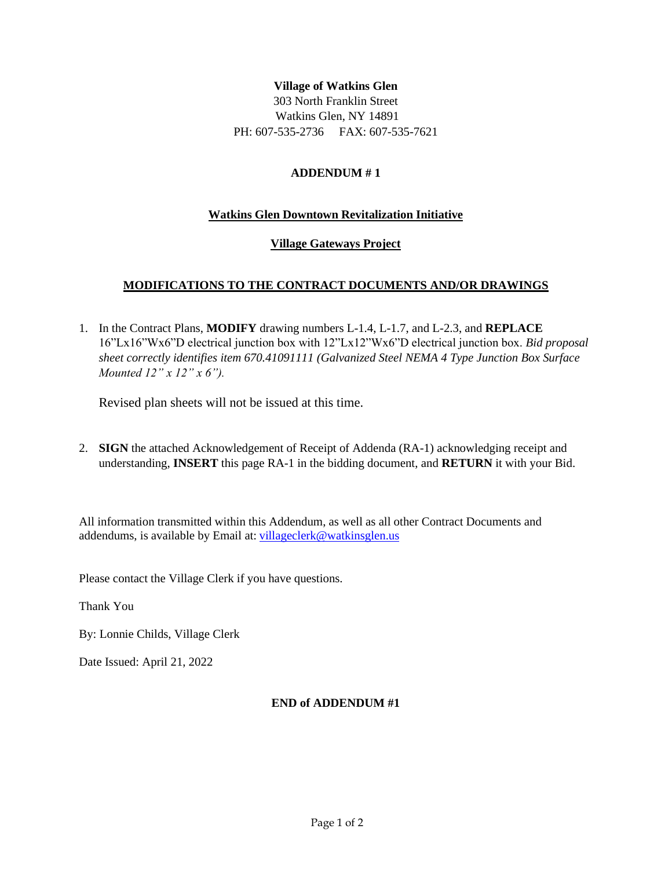## **Village of Watkins Glen**

303 North Franklin Street Watkins Glen, NY 14891 PH: 607-535-2736 FAX: 607-535-7621

#### **ADDENDUM # 1**

#### **Watkins Glen Downtown Revitalization Initiative**

#### **Village Gateways Project**

### **MODIFICATIONS TO THE CONTRACT DOCUMENTS AND/OR DRAWINGS**

1. In the Contract Plans, **MODIFY** drawing numbers L-1.4, L-1.7, and L-2.3, and **REPLACE** 16"Lx16"Wx6"D electrical junction box with 12"Lx12"Wx6"D electrical junction box. *Bid proposal sheet correctly identifies item 670.41091111 (Galvanized Steel NEMA 4 Type Junction Box Surface Mounted 12" x 12" x 6").*

Revised plan sheets will not be issued at this time.

2. **SIGN** the attached Acknowledgement of Receipt of Addenda (RA-1) acknowledging receipt and understanding, **INSERT** this page RA-1 in the bidding document, and **RETURN** it with your Bid.

All information transmitted within this Addendum, as well as all other Contract Documents and addendums, is available by Email at: [villageclerk@watkinsglen.us](mailto:villageclerk@watkinsglen.us)

Please contact the Village Clerk if you have questions.

Thank You

By: Lonnie Childs, Village Clerk

Date Issued: April 21, 2022

## **END of ADDENDUM #1**